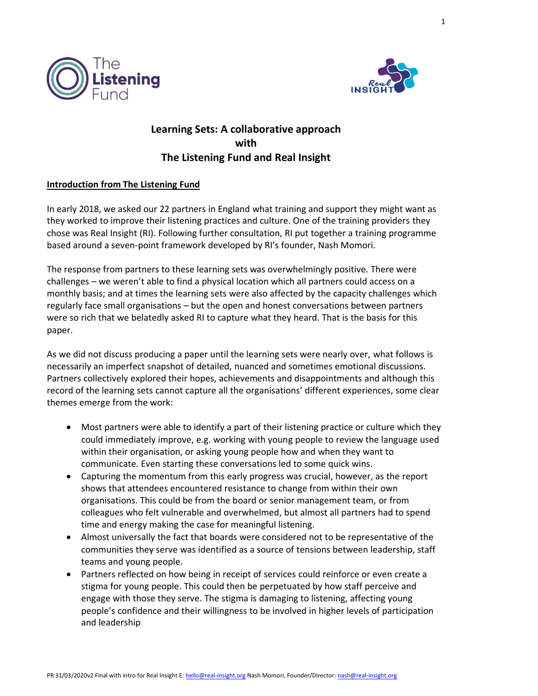



# **Learning Sets: A collaborative approach with The Listening Fund and Real Insight**

# **Introduction from The Listening Fund**

In early 2018, we asked our 22 partners in England what training and support they might want as they worked to improve their listening practices and culture. One of the training providers they chose was Real Insight (RI). Following further consultation, RI put together a training programme based around a seven-point framework developed by RI's founder, Nash Momori.

The response from partners to these learning sets was overwhelmingly positive. There were challenges – we weren't able to find a physical location which all partners could access on a monthly basis; and at times the learning sets were also affected by the capacity challenges which regularly face small organisations – but the open and honest conversations between partners were so rich that we belatedly asked RI to capture what they heard. That is the basis for this paper.

As we did not discuss producing a paper until the learning sets were nearly over, what follows is necessarily an imperfect snapshot of detailed, nuanced and sometimes emotional discussions. Partners collectively explored their hopes, achievements and disappointments and although this record of the learning sets cannot capture all the organisations' different experiences, some clear themes emerge from the work:

- Most partners were able to identify a part of their listening practice or culture which they could immediately improve, e.g. working with young people to review the language used within their organisation, or asking young people how and when they want to communicate. Even starting these conversations led to some quick wins.
- Capturing the momentum from this early progress was crucial, however, as the report shows that attendees encountered resistance to change from within their own organisations. This could be from the board or senior management team, or from colleagues who felt vulnerable and overwhelmed, but almost all partners had to spend time and energy making the case for meaningful listening.
- Almost universally the fact that boards were considered not to be representative of the communities they serve was identified as a source of tensions between leadership, staff teams and young people.
- Partners reflected on how being in receipt of services could reinforce or even create a stigma for young people. This could then be perpetuated by how staff perceive and engage with those they serve. The stigma is damaging to listening, affecting young people's confidence and their willingness to be involved in higher levels of participation and leadership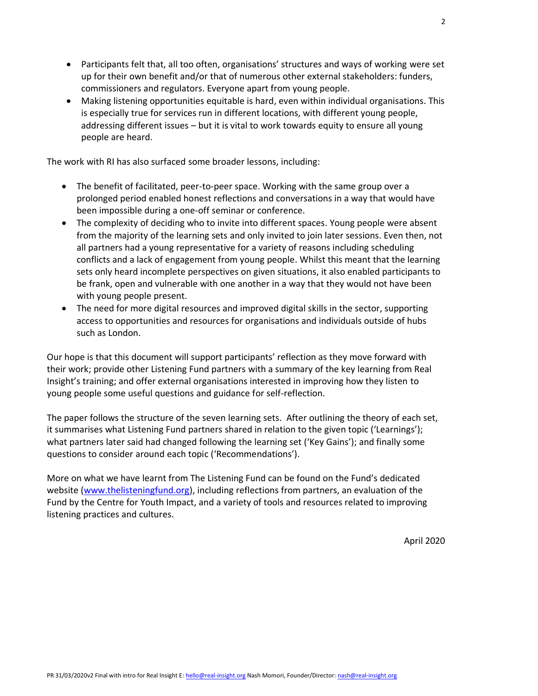- Participants felt that, all too often, organisations' structures and ways of working were set up for their own benefit and/or that of numerous other external stakeholders: funders, commissioners and regulators. Everyone apart from young people.
- Making listening opportunities equitable is hard, even within individual organisations. This is especially true for services run in different locations, with different young people, addressing different issues – but it is vital to work towards equity to ensure all young people are heard.

The work with RI has also surfaced some broader lessons, including:

- The benefit of facilitated, peer-to-peer space. Working with the same group over a prolonged period enabled honest reflections and conversations in a way that would have been impossible during a one-off seminar or conference.
- The complexity of deciding who to invite into different spaces. Young people were absent from the majority of the learning sets and only invited to join later sessions. Even then, not all partners had a young representative for a variety of reasons including scheduling conflicts and a lack of engagement from young people. Whilst this meant that the learning sets only heard incomplete perspectives on given situations, it also enabled participants to be frank, open and vulnerable with one another in a way that they would not have been with young people present.
- The need for more digital resources and improved digital skills in the sector, supporting access to opportunities and resources for organisations and individuals outside of hubs such as London.

Our hope is that this document will support participants' reflection as they move forward with their work; provide other Listening Fund partners with a summary of the key learning from Real Insight's training; and offer external organisations interested in improving how they listen to young people some useful questions and guidance for self-reflection.

The paper follows the structure of the seven learning sets. After outlining the theory of each set, it summarises what Listening Fund partners shared in relation to the given topic ('Learnings'); what partners later said had changed following the learning set ('Key Gains'); and finally some questions to consider around each topic ('Recommendations').

More on what we have learnt from The Listening Fund can be found on the Fund's dedicated website (www.thelisteningfund.org), including reflections from partners, an evaluation of the Fund by the Centre for Youth Impact, and a variety of tools and resources related to improving listening practices and cultures.

April 2020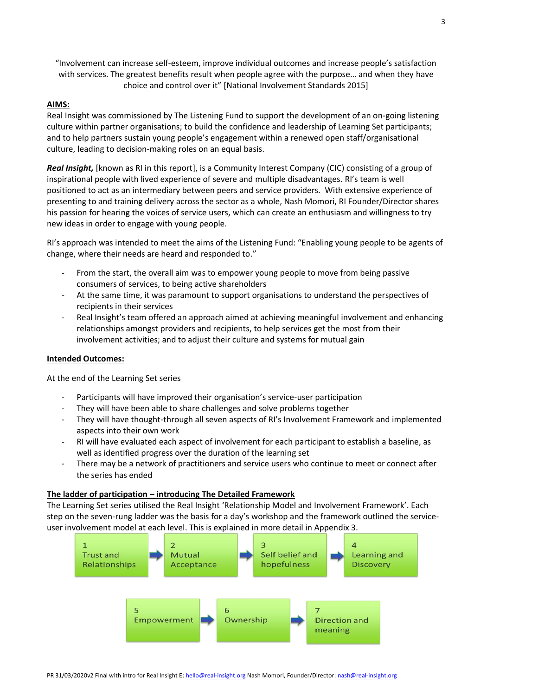"Involvement can increase self-esteem, improve individual outcomes and increase people's satisfaction with services. The greatest benefits result when people agree with the purpose… and when they have choice and control over it" [National Involvement Standards 2015]

#### **AIMS:**

Real Insight was commissioned by The Listening Fund to support the development of an on-going listening culture within partner organisations; to build the confidence and leadership of Learning Set participants; and to help partners sustain young people's engagement within a renewed open staff/organisational culture, leading to decision-making roles on an equal basis.

Real Insight, [known as RI in this report], is a Community Interest Company (CIC) consisting of a group of inspirational people with lived experience of severe and multiple disadvantages. RI's team is well positioned to act as an intermediary between peers and service providers. With extensive experience of presenting to and training delivery across the sector as a whole, Nash Momori, RI Founder/Director shares his passion for hearing the voices of service users, which can create an enthusiasm and willingness to try new ideas in order to engage with young people.

RI's approach was intended to meet the aims of the Listening Fund: "Enabling young people to be agents of change, where their needs are heard and responded to."

- From the start, the overall aim was to empower young people to move from being passive consumers of services, to being active shareholders
- At the same time, it was paramount to support organisations to understand the perspectives of recipients in their services
- Real Insight's team offered an approach aimed at achieving meaningful involvement and enhancing relationships amongst providers and recipients, to help services get the most from their involvement activities; and to adjust their culture and systems for mutual gain

#### **Intended Outcomes:**

At the end of the Learning Set series

- Participants will have improved their organisation's service-user participation
- They will have been able to share challenges and solve problems together
- They will have thought-through all seven aspects of RI's Involvement Framework and implemented aspects into their own work
- RI will have evaluated each aspect of involvement for each participant to establish a baseline, as well as identified progress over the duration of the learning set
- There may be a network of practitioners and service users who continue to meet or connect after the series has ended

#### **The ladder of participation – introducing The Detailed Framework**

The Learning Set series utilised the Real Insight 'Relationship Model and Involvement Framework'. Each step on the seven-rung ladder was the basis for a day's workshop and the framework outlined the serviceuser involvement model at each level. This is explained in more detail in Appendix 3.

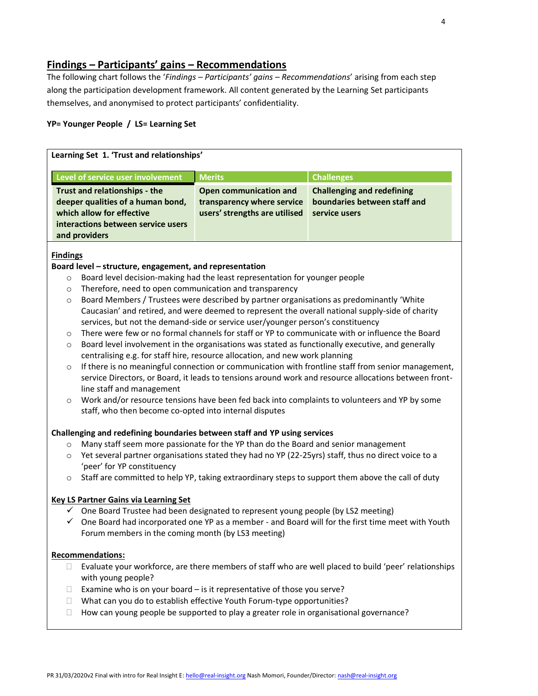# **Findings – Participants' gains – Recommendations**

The following chart follows the '*Findings – Participants' gains – Recommendations*' arising from each step along the participation development framework. All content generated by the Learning Set participants themselves, and anonymised to protect participants' confidentiality.

## **YP= Younger People / LS= Learning Set**

| Learning Set 1. 'Trust and relationships'                                                                                                              |                                                                                       |                                                                                    |  |
|--------------------------------------------------------------------------------------------------------------------------------------------------------|---------------------------------------------------------------------------------------|------------------------------------------------------------------------------------|--|
| Level of service user involvement                                                                                                                      | <b>Merits</b>                                                                         | <b>Challenges</b>                                                                  |  |
| Trust and relationships - the<br>deeper qualities of a human bond,<br>which allow for effective<br>interactions between service users<br>and providers | Open communication and<br>transparency where service<br>users' strengths are utilised | <b>Challenging and redefining</b><br>boundaries between staff and<br>service users |  |

# **Findings**

# **Board level – structure, engagement, and representation**

- o Board level decision-making had the least representation for younger people
- o Therefore, need to open communication and transparency
- o Board Members / Trustees were described by partner organisations as predominantly 'White Caucasian' and retired, and were deemed to represent the overall national supply-side of charity services, but not the demand-side or service user/younger person's constituency
- o There were few or no formal channels for staff or YP to communicate with or influence the Board
- $\circ$  Board level involvement in the organisations was stated as functionally executive, and generally centralising e.g. for staff hire, resource allocation, and new work planning
- $\circ$  If there is no meaningful connection or communication with frontline staff from senior management, service Directors, or Board, it leads to tensions around work and resource allocations between frontline staff and management
- o Work and/or resource tensions have been fed back into complaints to volunteers and YP by some staff, who then become co-opted into internal disputes

#### **Challenging and redefining boundaries between staff and YP using services**

- o Many staff seem more passionate for the YP than do the Board and senior management
- o Yet several partner organisations stated they had no YP (22-25yrs) staff, thus no direct voice to a 'peer' for YP constituency
- $\circ$  Staff are committed to help YP, taking extraordinary steps to support them above the call of duty

#### **Key LS Partner Gains via Learning Set**

- ✓ One Board Trustee had been designated to represent young people (by LS2 meeting)
- $\checkmark$  One Board had incorporated one YP as a member and Board will for the first time meet with Youth Forum members in the coming month (by LS3 meeting)

- $\Box$  Evaluate your workforce, are there members of staff who are well placed to build 'peer' relationships with young people?
- Examine who is on your board is it representative of those you serve?
- What can you do to establish effective Youth Forum-type opportunities?
- $\Box$  How can young people be supported to play a greater role in organisational governance?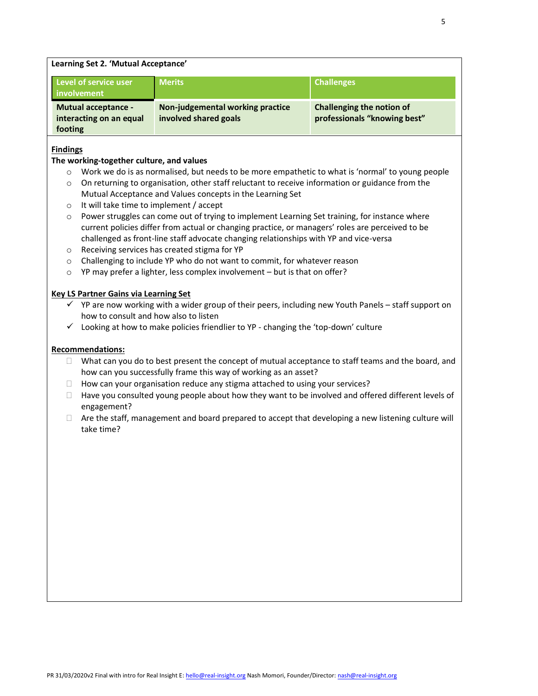| Learning Set 2. 'Mutual Acceptance'  |                                  |                              |
|--------------------------------------|----------------------------------|------------------------------|
| Level of service user<br>involvement | <b>Merits</b>                    | <b>Challenges</b>            |
|                                      |                                  |                              |
| <b>Mutual acceptance -</b>           | Non-judgemental working practice | Challenging the notion of    |
| interacting on an equal              | involved shared goals            | professionals "knowing best" |
| footing                              |                                  |                              |

## **Findings**

#### **The working-together culture, and values**

- $\circ$  Work we do is as normalised, but needs to be more empathetic to what is 'normal' to young people
- o On returning to organisation, other staff reluctant to receive information or guidance from the Mutual Acceptance and Values concepts in the Learning Set
- o It will take time to implement / accept
- $\circ$  Power struggles can come out of trying to implement Learning Set training, for instance where current policies differ from actual or changing practice, or managers' roles are perceived to be challenged as front-line staff advocate changing relationships with YP and vice-versa
- o Receiving services has created stigma for YP
- o Challenging to include YP who do not want to commit, for whatever reason
- o YP may prefer a lighter, less complex involvement but is that on offer?

# **Key LS Partner Gains via Learning Set**

- $\checkmark$  YP are now working with a wider group of their peers, including new Youth Panels staff support on how to consult and how also to listen
- $\checkmark$  Looking at how to make policies friendlier to YP changing the 'top-down' culture

- $\Box$  What can you do to best present the concept of mutual acceptance to staff teams and the board, and how can you successfully frame this way of working as an asset?
- $\Box$  How can your organisation reduce any stigma attached to using your services?
- $\Box$  Have you consulted young people about how they want to be involved and offered different levels of engagement?
- $\Box$  Are the staff, management and board prepared to accept that developing a new listening culture will take time?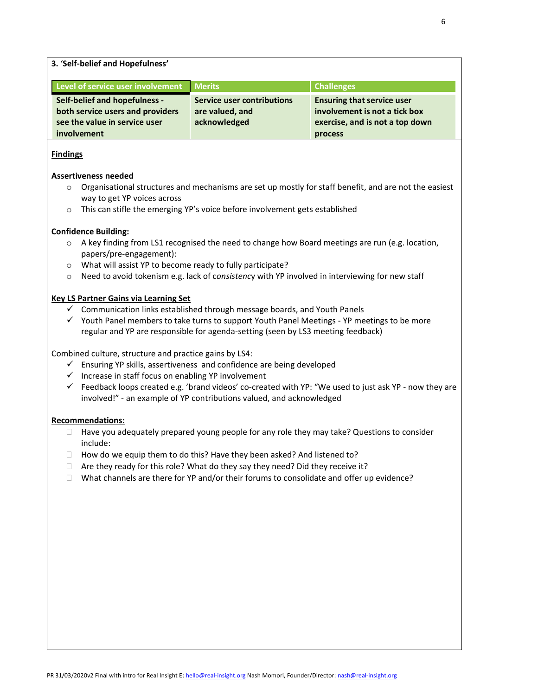**3.** '**Self-belief and Hopefulness'**

| Level of service user involvement Merits |                            | <b>Challenges</b>                 |
|------------------------------------------|----------------------------|-----------------------------------|
| Self-belief and hopefulness -            | Service user contributions | <b>Ensuring that service user</b> |
| both service users and providers         | are valued, and            | involvement is not a tick box     |
| see the value in service user            | acknowledged               | exercise, and is not a top down   |
| involvement                              |                            | process                           |

# **Findings**

#### **Assertiveness needed**

- $\circ$  Organisational structures and mechanisms are set up mostly for staff benefit, and are not the easiest way to get YP voices across
- o This can stifle the emerging YP's voice before involvement gets established

#### **Confidence Building:**

- $\circ$  A key finding from LS1 recognised the need to change how Board meetings are run (e.g. location, papers/pre-engagement):
- o What will assist YP to become ready to fully participate?
- o Need to avoid tokenism e.g. lack of c*onsistenc*y with YP involved in interviewing for new staff

#### **Key LS Partner Gains via Learning Set**

- ✓ Communication links established through message boards, and Youth Panels
- ✓ Youth Panel members to take turns to support Youth Panel Meetings YP meetings to be more regular and YP are responsible for agenda-setting (seen by LS3 meeting feedback)

Combined culture, structure and practice gains by LS4:

- $\checkmark$  Ensuring YP skills, assertiveness and confidence are being developed
- ✓ Increase in staff focus on enabling YP involvement
- $\checkmark$  Feedback loops created e.g. 'brand videos' co-created with YP: "We used to just ask YP now they are involved!" - an example of YP contributions valued, and acknowledged

- $\Box$  Have you adequately prepared young people for any role they may take? Questions to consider include:
- $\Box$  How do we equip them to do this? Have they been asked? And listened to?
- $\Box$  Are they ready for this role? What do they say they need? Did they receive it?
- $\Box$  What channels are there for YP and/or their forums to consolidate and offer up evidence?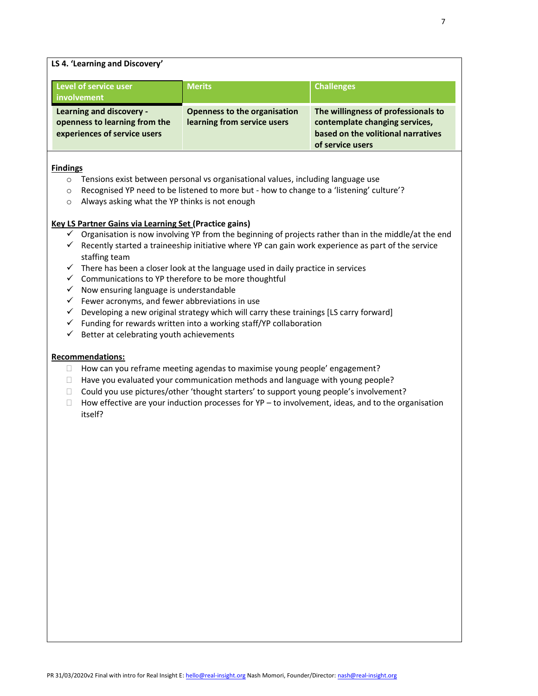# **LS 4. 'Learning and Discovery'**

| Level of service user<br>involvement                                                      | <b>Merits</b>                                               | <b>Challenges</b>                                                                                                               |
|-------------------------------------------------------------------------------------------|-------------------------------------------------------------|---------------------------------------------------------------------------------------------------------------------------------|
| Learning and discovery -<br>openness to learning from the<br>experiences of service users | Openness to the organisation<br>learning from service users | The willingness of professionals to<br>contemplate changing services,<br>based on the volitional narratives<br>of service users |

#### **Findings**

- o Tensions exist between personal vs organisational values, including language use
- $\circ$  Recognised YP need to be listened to more but how to change to a 'listening' culture'?
- o Always asking what the YP thinks is not enough

#### **Key LS Partner Gains via Learning Set (Practice gains)**

- $\checkmark$  Organisation is now involving YP from the beginning of projects rather than in the middle/at the end
- $\checkmark$  Recently started a traineeship initiative where YP can gain work experience as part of the service staffing team
- $\checkmark$  There has been a closer look at the language used in daily practice in services
- $\checkmark$  Communications to YP therefore to be more thoughtful
- $\checkmark$  Now ensuring language is understandable
- $\checkmark$  Fewer acronyms, and fewer abbreviations in use
- $\checkmark$  Developing a new original strategy which will carry these trainings [LS carry forward]
- $\checkmark$  Funding for rewards written into a working staff/YP collaboration
- $\checkmark$  Better at celebrating youth achievements

- $\Box$  How can you reframe meeting agendas to maximise young people' engagement?
- $\Box$  Have you evaluated your communication methods and language with young people?
- $\Box$  Could you use pictures/other 'thought starters' to support young people's involvement?
- $\Box$  How effective are your induction processes for YP to involvement, ideas, and to the organisation itself?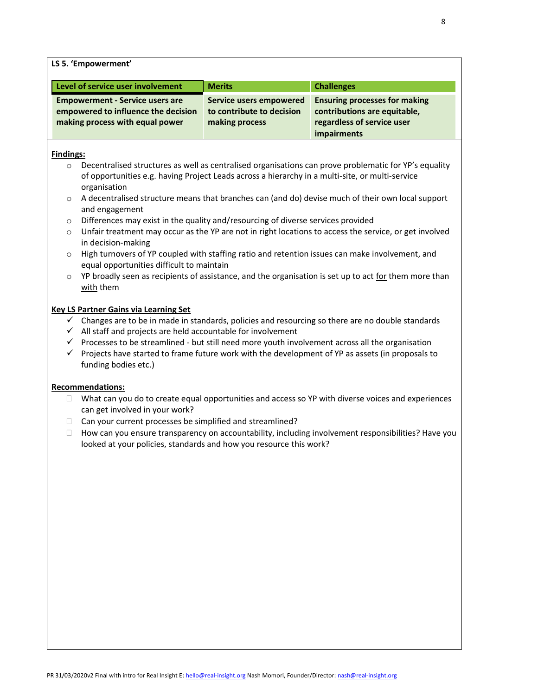**LS 5. 'Empowerment'**

| Level of service user involvement                                                                                | <b>Merits</b>                                                          | <b>Challenges</b>                                                                                                 |
|------------------------------------------------------------------------------------------------------------------|------------------------------------------------------------------------|-------------------------------------------------------------------------------------------------------------------|
| <b>Empowerment - Service users are</b><br>empowered to influence the decision<br>making process with equal power | Service users empowered<br>to contribute to decision<br>making process | <b>Ensuring processes for making</b><br>contributions are equitable,<br>regardless of service user<br>impairments |

#### **Findings:**

- $\circ$  Decentralised structures as well as centralised organisations can prove problematic for YP's equality of opportunities e.g. having Project Leads across a hierarchy in a multi-site, or multi-service organisation
- o A decentralised structure means that branches can (and do) devise much of their own local support and engagement
- $\circ$  Differences may exist in the quality and/resourcing of diverse services provided
- o Unfair treatment may occur as the YP are not in right locations to access the service, or get involved in decision-making
- o High turnovers of YP coupled with staffing ratio and retention issues can make involvement, and equal opportunities difficult to maintain
- $\circ$  YP broadly seen as recipients of assistance, and the organisation is set up to act for them more than with them

# **Key LS Partner Gains via Learning Set**

- ✓ Changes are to be in made in standards, policies and resourcing so there are no double standards
- ✓ All staff and projects are held accountable for involvement
- ✓ Processes to be streamlined but still need more youth involvement across all the organisation
- $\checkmark$  Projects have started to frame future work with the development of YP as assets (in proposals to funding bodies etc.)

- $\Box$  What can you do to create equal opportunities and access so YP with diverse voices and experiences can get involved in your work?
- $\Box$  Can your current processes be simplified and streamlined?
- $\Box$  How can you ensure transparency on accountability, including involvement responsibilities? Have you looked at your policies, standards and how you resource this work?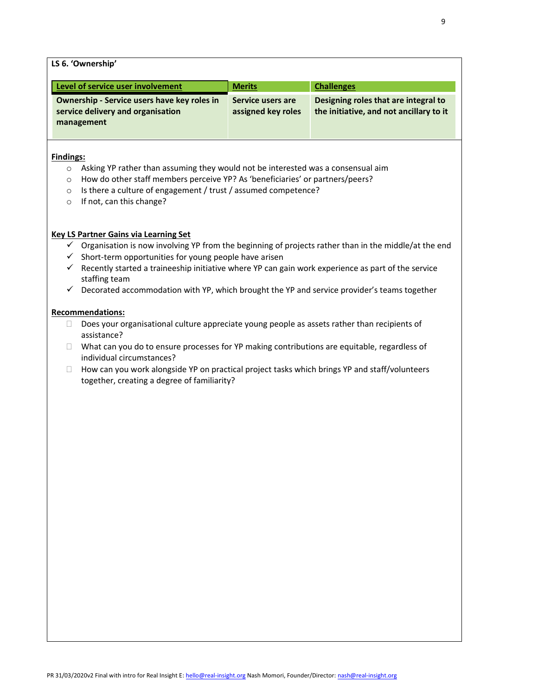| LS b. Ownership                                                                                |                                         |                                                                                 |
|------------------------------------------------------------------------------------------------|-----------------------------------------|---------------------------------------------------------------------------------|
| Level of service user involvement                                                              | <b>Merits</b>                           | <b>Challenges</b>                                                               |
| Ownership - Service users have key roles in<br>service delivery and organisation<br>management | Service users are<br>assigned key roles | Designing roles that are integral to<br>the initiative, and not ancillary to it |

#### **Findings:**

**LS 6. 'Ownership'**

- o Asking YP rather than assuming they would not be interested was a consensual aim
- o How do other staff members perceive YP? As 'beneficiaries' or partners/peers?
- o Is there a culture of engagement / trust / assumed competence?
- o If not, can this change?

#### **Key LS Partner Gains via Learning Set**

- $\checkmark$  Organisation is now involving YP from the beginning of projects rather than in the middle/at the end
- $\checkmark$  Short-term opportunities for young people have arisen
- $\checkmark$  Recently started a traineeship initiative where YP can gain work experience as part of the service staffing team
- ✓ Decorated accommodation with YP, which brought the YP and service provider's teams together

- $\Box$  Does your organisational culture appreciate young people as assets rather than recipients of assistance?
- $\Box$  What can you do to ensure processes for YP making contributions are equitable, regardless of individual circumstances?
- $\Box$  How can you work alongside YP on practical project tasks which brings YP and staff/volunteers together, creating a degree of familiarity?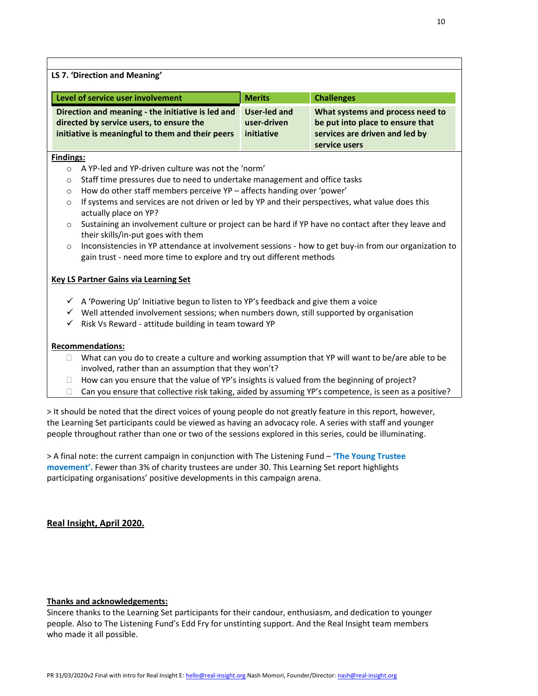|                                                                                                                                                   | Level of service user involvement                                                                                                                                             | <b>Merits</b>                                    | <b>Challenges</b>                                                                                                       |
|---------------------------------------------------------------------------------------------------------------------------------------------------|-------------------------------------------------------------------------------------------------------------------------------------------------------------------------------|--------------------------------------------------|-------------------------------------------------------------------------------------------------------------------------|
| Direction and meaning - the initiative is led and<br>directed by service users, to ensure the<br>initiative is meaningful to them and their peers |                                                                                                                                                                               | <b>User-led and</b><br>user-driven<br>initiative | What systems and process need to<br>be put into place to ensure that<br>services are driven and led by<br>service users |
| <b>Findings:</b>                                                                                                                                  |                                                                                                                                                                               |                                                  |                                                                                                                         |
| $\circ$                                                                                                                                           | A YP-led and YP-driven culture was not the 'norm'                                                                                                                             |                                                  |                                                                                                                         |
| $\circ$                                                                                                                                           | Staff time pressures due to need to undertake management and office tasks                                                                                                     |                                                  |                                                                                                                         |
| $\circ$                                                                                                                                           | How do other staff members perceive YP - affects handing over 'power'                                                                                                         |                                                  |                                                                                                                         |
| $\circ$                                                                                                                                           | If systems and services are not driven or led by YP and their perspectives, what value does this<br>actually place on YP?                                                     |                                                  |                                                                                                                         |
| $\circ$                                                                                                                                           | Sustaining an involvement culture or project can be hard if YP have no contact after they leave and                                                                           |                                                  |                                                                                                                         |
|                                                                                                                                                   | their skills/in-put goes with them                                                                                                                                            |                                                  |                                                                                                                         |
| $\circ$                                                                                                                                           | Inconsistencies in YP attendance at involvement sessions - how to get buy-in from our organization to<br>gain trust - need more time to explore and try out different methods |                                                  |                                                                                                                         |
|                                                                                                                                                   | <b>Key LS Partner Gains via Learning Set</b>                                                                                                                                  |                                                  |                                                                                                                         |
|                                                                                                                                                   | $\checkmark$ A 'Powering Up' Initiative begun to listen to YP's feedback and give them a voice                                                                                |                                                  |                                                                                                                         |
|                                                                                                                                                   | $\checkmark$ Well attended involvement sessions; when numbers down, still supported by organisation                                                                           |                                                  |                                                                                                                         |
|                                                                                                                                                   | $\checkmark$ Risk Vs Reward - attitude building in team toward YP                                                                                                             |                                                  |                                                                                                                         |
|                                                                                                                                                   | <b>Recommendations:</b>                                                                                                                                                       |                                                  |                                                                                                                         |
| $\Box$                                                                                                                                            | What can you do to create a culture and working assumption that YP will want to be/are able to be<br>involved, rather than an assumption that they won't?                     |                                                  |                                                                                                                         |
| $\Box$                                                                                                                                            | How can you ensure that the value of YP's insights is valued from the beginning of project?                                                                                   |                                                  |                                                                                                                         |
|                                                                                                                                                   | Can you ensure that collective risk taking, aided by assuming YP's competence, is seen as a positive?                                                                         |                                                  |                                                                                                                         |

the Learning Set participants could be viewed as having an advocacy role. A series with staff and younger people throughout rather than one or two of the sessions explored in this series, could be illuminating.

> A final note: the current campaign in conjunction with The Listening Fund – **'The Young Trustee movement'.** Fewer than 3% of charity trustees are under 30. This Learning Set report highlights participating organisations' positive developments in this campaign arena.

# **Real Insight, April 2020.**

# **Thanks and acknowledgements:**

Sincere thanks to the Learning Set participants for their candour, enthusiasm, and dedication to younger people. Also to The Listening Fund's Edd Fry for unstinting support. And the Real Insight team members who made it all possible.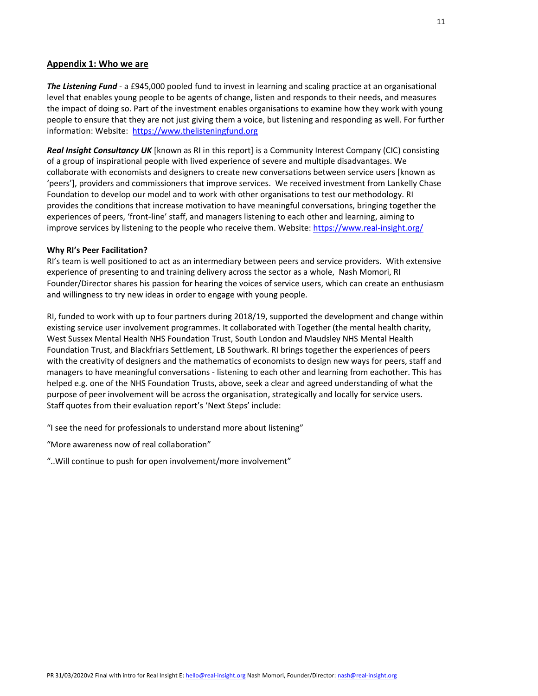#### **Appendix 1: Who we are**

*The Listening Fund* - a £945,000 pooled fund to invest in learning and scaling practice at an organisational level that enables young people to be agents of change, listen and responds to their needs, and measures the impact of doing so. Part of the investment enables organisations to examine how they work with young people to ensure that they are not just giving them a voice, but listening and responding as well. For further information: Website: https://www.thelisteningfund.org

*Real Insight Consultancy UK* [known as RI in this report] is a Community Interest Company (CIC) consisting of a group of inspirational people with lived experience of severe and multiple disadvantages. We collaborate with economists and designers to create new conversations between service users [known as 'peers'], providers and commissioners that improve services. We received investment from Lankelly Chase Foundation to develop our model and to work with other organisations to test our methodology. RI provides the conditions that increase motivation to have meaningful conversations, bringing together the experiences of peers, 'front-line' staff, and managers listening to each other and learning, aiming to improve services by listening to the people who receive them. Website: https://www.real-insight.org/

#### **Why RI's Peer Facilitation?**

RI's team is well positioned to act as an intermediary between peers and service providers. With extensive experience of presenting to and training delivery across the sector as a whole, Nash Momori, RI Founder/Director shares his passion for hearing the voices of service users, which can create an enthusiasm and willingness to try new ideas in order to engage with young people.

RI, funded to work with up to four partners during 2018/19, supported the development and change within existing service user involvement programmes. It collaborated with Together (the mental health charity, West Sussex Mental Health NHS Foundation Trust, South London and Maudsley NHS Mental Health Foundation Trust, and Blackfriars Settlement, LB Southwark. RI brings together the experiences of peers with the creativity of designers and the mathematics of economists to design new ways for peers, staff and managers to have meaningful conversations - listening to each other and learning from eachother. This has helped e.g. one of the NHS Foundation Trusts, above, seek a clear and agreed understanding of what the purpose of peer involvement will be across the organisation, strategically and locally for service users. Staff quotes from their evaluation report's 'Next Steps' include:

"I see the need for professionals to understand more about listening"

"More awareness now of real collaboration"

"..Will continue to push for open involvement/more involvement"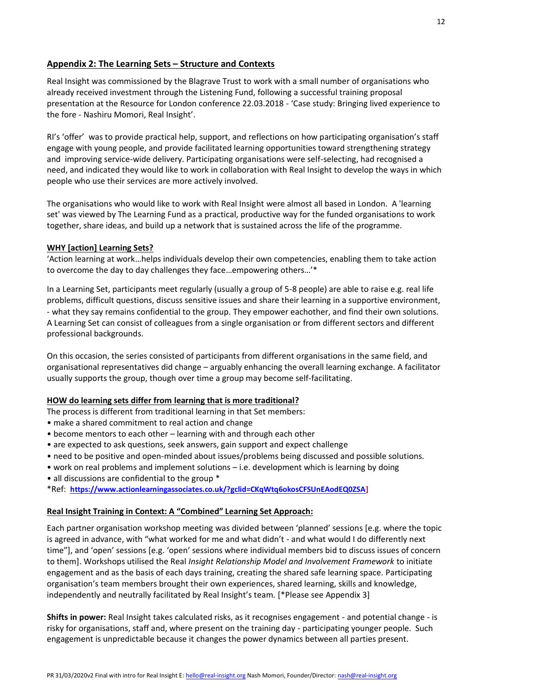# **Appendix 2: The Learning Sets – Structure and Contexts**

Real Insight was commissioned by the Blagrave Trust to work with a small number of organisations who already received investment through the Listening Fund, following a successful training proposal presentation at the Resource for London conference 22.03.2018 - 'Case study: Bringing lived experience to the fore - Nashiru Momori, Real Insight'.

RI's 'offer' was to provide practical help, support, and reflections on how participating organisation's staff engage with young people, and provide facilitated learning opportunities toward strengthening strategy and improving service-wide delivery. Participating organisations were self-selecting, had recognised a need, and indicated they would like to work in collaboration with Real Insight to develop the ways in which people who use their services are more actively involved.

The organisations who would like to work with Real Insight were almost all based in London. A 'learning set' was viewed by The Learning Fund as a practical, productive way for the funded organisations to work together, share ideas, and build up a network that is sustained across the life of the programme.

#### **WHY [action] Learning Sets?**

'Action learning at work…helps individuals develop their own competencies, enabling them to take action to overcome the day to day challenges they face…empowering others…'\*

In a Learning Set, participants meet regularly (usually a group of 5-8 people) are able to raise e.g. real life problems, difficult questions, discuss sensitive issues and share their learning in a supportive environment, - what they say remains confidential to the group. They empower eachother, and find their own solutions. A Learning Set can consist of colleagues from a single organisation or from different sectors and different professional backgrounds.

On this occasion, the series consisted of participants from different organisations in the same field, and organisational representatives did change – arguably enhancing the overall learning exchange. A facilitator usually supports the group, though over time a group may become self-facilitating.

#### **HOW do learning sets differ from learning that is more traditional?**

The process is different from traditional learning in that Set members:

- make a shared commitment to real action and change
- become mentors to each other learning with and through each other
- are expected to ask questions, seek answers, gain support and expect challenge
- need to be positive and open-minded about issues/problems being discussed and possible solutions.
- work on real problems and implement solutions i.e. development which is learning by doing
- all discussions are confidential to the group \*

\*Ref: **https://www.actionlearningassociates.co.uk/?gclid=CKqWtq6okosCFSUnEAodEQ0ZSA]**

#### **Real Insight Training in Context: A "Combined" Learning Set Approach:**

Each partner organisation workshop meeting was divided between 'planned' sessions [e.g. where the topic is agreed in advance, with "what worked for me and what didn't - and what would I do differently next time"], and 'open' sessions [e.g. 'open' sessions where individual members bid to discuss issues of concern to them]. Workshops utilised the Real *Insight Relationship Model and Involvement Framework* to initiate engagement and as the basis of each days training, creating the shared safe learning space. Participating organisation's team members brought their own experiences, shared learning, skills and knowledge, independently and neutrally facilitated by Real Insight's team. [\*Please see Appendix 3]

**Shifts in power:** Real Insight takes calculated risks, as it recognises engagement - and potential change - is risky for organisations, staff and, where present on the training day - participating younger people. Such engagement is unpredictable because it changes the power dynamics between all parties present.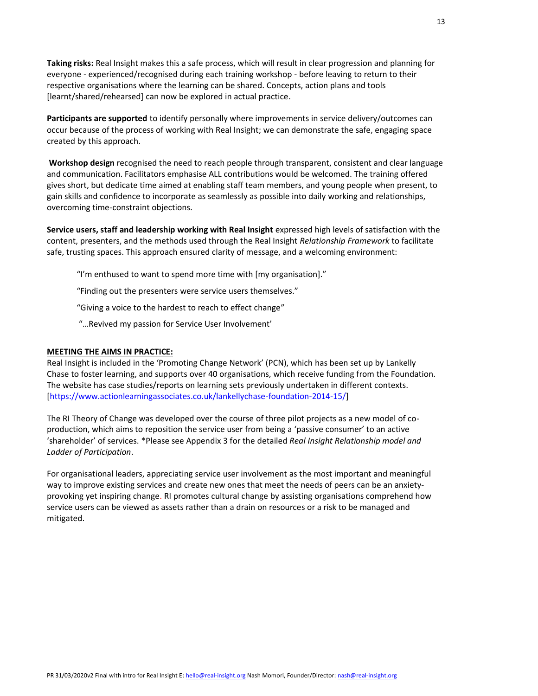**Taking risks:** Real Insight makes this a safe process, which will result in clear progression and planning for everyone - experienced/recognised during each training workshop - before leaving to return to their respective organisations where the learning can be shared. Concepts, action plans and tools [learnt/shared/rehearsed] can now be explored in actual practice.

**Participants are supported** to identify personally where improvements in service delivery/outcomes can occur because of the process of working with Real Insight; we can demonstrate the safe, engaging space created by this approach.

**Workshop design** recognised the need to reach people through transparent, consistent and clear language and communication. Facilitators emphasise ALL contributions would be welcomed. The training offered gives short, but dedicate time aimed at enabling staff team members, and young people when present, to gain skills and confidence to incorporate as seamlessly as possible into daily working and relationships, overcoming time-constraint objections.

**Service users, staff and leadership working with Real Insight** expressed high levels of satisfaction with the content, presenters, and the methods used through the Real Insight *Relationship Framework* to facilitate safe, trusting spaces. This approach ensured clarity of message, and a welcoming environment:

"I'm enthused to want to spend more time with [my organisation]."

"Finding out the presenters were service users themselves."

"Giving a voice to the hardest to reach to effect change"

"…Revived my passion for Service User Involvement'

#### **MEETING THE AIMS IN PRACTICE:**

Real Insight is included in the 'Promoting Change Network' (PCN), which has been set up by Lankelly Chase to foster learning, and supports over 40 organisations, which receive funding from the Foundation. The website has case studies/reports on learning sets previously undertaken in different contexts. [https://www.actionlearningassociates.co.uk/lankellychase-foundation-2014-15/]

The RI Theory of Change was developed over the course of three pilot projects as a new model of coproduction, which aims to reposition the service user from being a 'passive consumer' to an active 'shareholder' of services. \*Please see Appendix 3 for the detailed *Real Insight Relationship model and Ladder of Participation*.

For organisational leaders, appreciating service user involvement as the most important and meaningful way to improve existing services and create new ones that meet the needs of peers can be an anxietyprovoking yet inspiring change. RI promotes cultural change by assisting organisations comprehend how service users can be viewed as assets rather than a drain on resources or a risk to be managed and mitigated.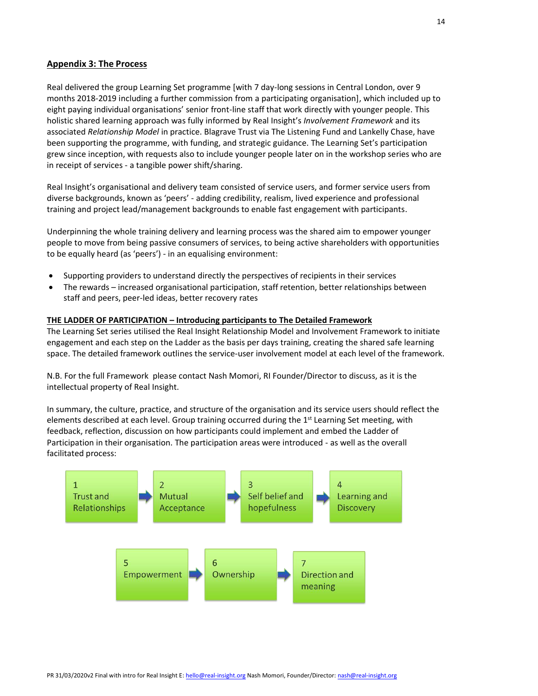# **Appendix 3: The Process**

Real delivered the group Learning Set programme [with 7 day-long sessions in Central London, over 9 months 2018-2019 including a further commission from a participating organisation], which included up to eight paying individual organisations' senior front-line staff that work directly with younger people. This holistic shared learning approach was fully informed by Real Insight's *Involvement Framework* and its associated *Relationship Model* in practice. Blagrave Trust via The Listening Fund and Lankelly Chase, have been supporting the programme, with funding, and strategic guidance. The Learning Set's participation grew since inception, with requests also to include younger people later on in the workshop series who are in receipt of services - a tangible power shift/sharing.

Real Insight's organisational and delivery team consisted of service users, and former service users from diverse backgrounds, known as 'peers' - adding credibility, realism, lived experience and professional training and project lead/management backgrounds to enable fast engagement with participants.

Underpinning the whole training delivery and learning process was the shared aim to empower younger people to move from being passive consumers of services, to being active shareholders with opportunities to be equally heard (as 'peers') - in an equalising environment:

- Supporting providers to understand directly the perspectives of recipients in their services
- The rewards increased organisational participation, staff retention, better relationships between staff and peers, peer-led ideas, better recovery rates

#### **THE LADDER OF PARTICIPATION – Introducing participants to The Detailed Framework**

The Learning Set series utilised the Real Insight Relationship Model and Involvement Framework to initiate engagement and each step on the Ladder as the basis per days training, creating the shared safe learning space. The detailed framework outlines the service-user involvement model at each level of the framework.

N.B. For the full Framework please contact Nash Momori, RI Founder/Director to discuss, as it is the intellectual property of Real Insight.

In summary, the culture, practice, and structure of the organisation and its service users should reflect the elements described at each level. Group training occurred during the 1<sup>st</sup> Learning Set meeting, with feedback, reflection, discussion on how participants could implement and embed the Ladder of Participation in their organisation. The participation areas were introduced - as well as the overall facilitated process:

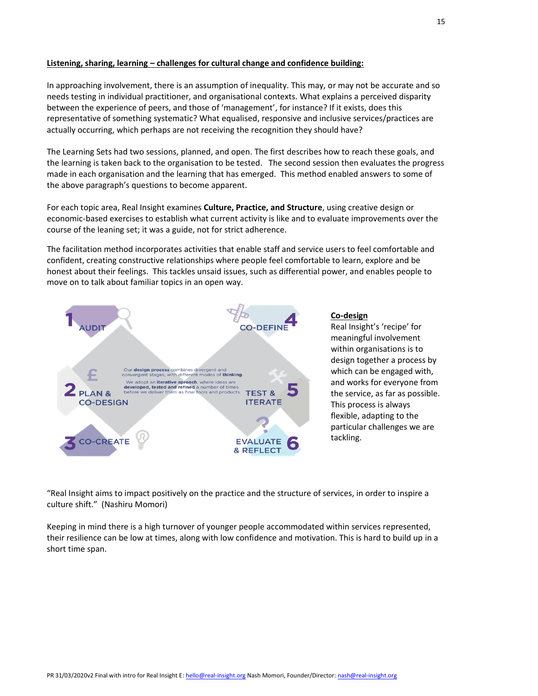## **Listening, sharing, learning – challenges for cultural change and confidence building:**

In approaching involvement, there is an assumption of inequality. This may, or may not be accurate and so needs testing in individual practitioner, and organisational contexts. What explains a perceived disparity between the experience of peers, and those of 'management', for instance? If it exists, does this representative of something systematic? What equalised, responsive and inclusive services/practices are actually occurring, which perhaps are not receiving the recognition they should have?

The Learning Sets had two sessions, planned, and open. The first describes how to reach these goals, and the learning is taken back to the organisation to be tested. The second session then evaluates the progress made in each organisation and the learning that has emerged. This method enabled answers to some of the above paragraph's questions to become apparent.

For each topic area, Real Insight examines **Culture, Practice, and Structure**, using creative design or economic-based exercises to establish what current activity is like and to evaluate improvements over the course of the leaning set; it was a guide, not for strict adherence.

The facilitation method incorporates activities that enable staff and service users to feel comfortable and confident, creating constructive relationships where people feel comfortable to learn, explore and be honest about their feelings. This tackles unsaid issues, such as differential power, and enables people to move on to talk about familiar topics in an open way.



#### **Co-design**

Real Insight's 'recipe' for meaningful involvement within organisations is to design together a process by which can be engaged with, and works for everyone from the service, as far as possible. This process is always flexible, adapting to the particular challenges we are tackling.

"Real Insight aims to impact positively on the practice and the structure of services, in order to inspire a culture shift." (Nashiru Momori)

Keeping in mind there is a high turnover of younger people accommodated within services represented, their resilience can be low at times, along with low confidence and motivation. This is hard to build up in a short time span.